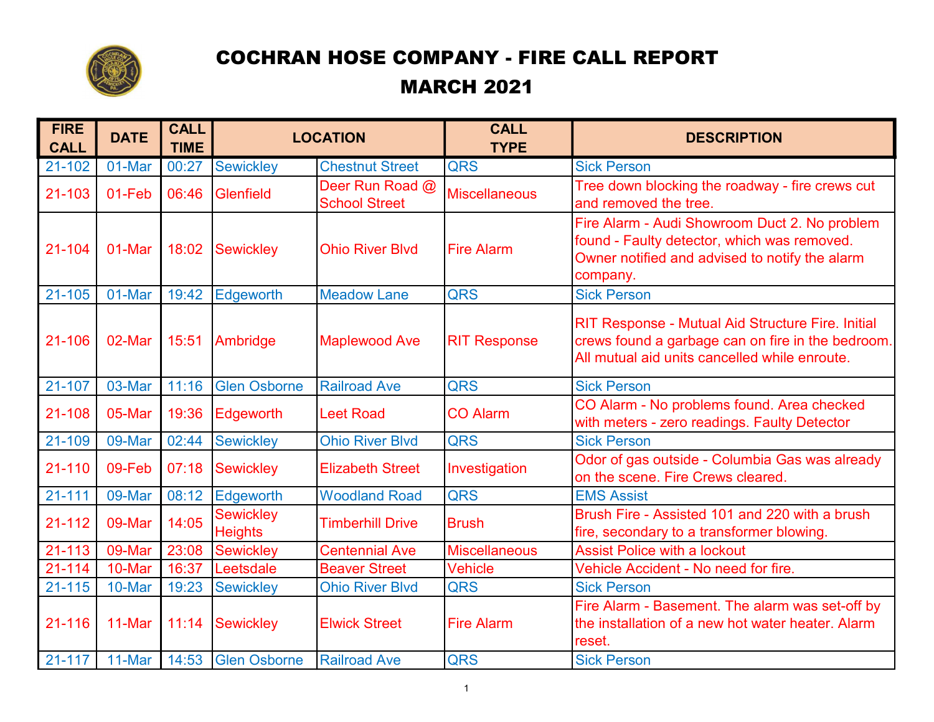

## COCHRAN HOSE COMPANY - FIRE CALL REPORT MARCH 2021

| <b>FIRE</b><br><b>CALL</b> | <b>DATE</b> | <b>CALL</b><br><b>TIME</b> | <b>LOCATION</b>                    |                                         | <b>CALL</b><br><b>TYPE</b> | <b>DESCRIPTION</b>                                                                                                                                             |
|----------------------------|-------------|----------------------------|------------------------------------|-----------------------------------------|----------------------------|----------------------------------------------------------------------------------------------------------------------------------------------------------------|
| 21-102                     | 01-Mar      | 00:27                      | <b>Sewickley</b>                   | <b>Chestnut Street</b>                  | <b>QRS</b>                 | <b>Sick Person</b>                                                                                                                                             |
| 21-103                     | 01-Feb      | 06:46                      | Glenfield                          | Deer Run Road @<br><b>School Street</b> | <b>Miscellaneous</b>       | Tree down blocking the roadway - fire crews cut<br>and removed the tree.                                                                                       |
| 21-104                     | 01-Mar      | 18:02                      | <b>Sewickley</b>                   | <b>Ohio River Blvd</b>                  | <b>Fire Alarm</b>          | Fire Alarm - Audi Showroom Duct 2. No problem<br>found - Faulty detector, which was removed.<br>Owner notified and advised to notify the alarm<br>company.     |
| 21-105                     | 01-Mar      | 19:42                      | Edgeworth                          | <b>Meadow Lane</b>                      | <b>QRS</b>                 | <b>Sick Person</b>                                                                                                                                             |
| 21-106                     | 02-Mar      | 15:51                      | Ambridge                           | <b>Maplewood Ave</b>                    | <b>RIT Response</b>        | <b>RIT Response - Mutual Aid Structure Fire. Initial</b><br>crews found a garbage can on fire in the bedroom.<br>All mutual aid units cancelled while enroute. |
| 21-107                     | 03-Mar      | 11:16                      | <b>Glen Osborne</b>                | <b>Railroad Ave</b>                     | <b>QRS</b>                 | <b>Sick Person</b>                                                                                                                                             |
| 21-108                     | 05-Mar      | 19:36                      | Edgeworth                          | <b>Leet Road</b>                        | <b>CO Alarm</b>            | CO Alarm - No problems found. Area checked<br>with meters - zero readings. Faulty Detector                                                                     |
| 21-109                     | 09-Mar      | 02:44                      | <b>Sewickley</b>                   | <b>Ohio River Blvd</b>                  | <b>QRS</b>                 | <b>Sick Person</b>                                                                                                                                             |
| 21-110                     | 09-Feb      | 07:18                      | <b>Sewickley</b>                   | <b>Elizabeth Street</b>                 | Investigation              | Odor of gas outside - Columbia Gas was already<br>on the scene. Fire Crews cleared.                                                                            |
| $21 - 111$                 | 09-Mar      | 08:12                      | Edgeworth                          | <b>Woodland Road</b>                    | <b>QRS</b>                 | <b>EMS Assist</b>                                                                                                                                              |
| 21-112                     | 09-Mar      | 14:05                      | <b>Sewickley</b><br><b>Heights</b> | <b>Timberhill Drive</b>                 | <b>Brush</b>               | Brush Fire - Assisted 101 and 220 with a brush<br>fire, secondary to a transformer blowing.                                                                    |
| $21 - 113$                 | 09-Mar      | 23:08                      | <b>Sewickley</b>                   | <b>Centennial Ave</b>                   | <b>Miscellaneous</b>       | <b>Assist Police with a lockout</b>                                                                                                                            |
| $21 - 114$                 | 10-Mar      | 16:37                      | Leetsdale                          | <b>Beaver Street</b>                    | <b>Vehicle</b>             | Vehicle Accident - No need for fire.                                                                                                                           |
| 21-115                     | 10-Mar      | 19:23                      | <b>Sewickley</b>                   | <b>Ohio River Blvd</b>                  | <b>QRS</b>                 | <b>Sick Person</b>                                                                                                                                             |
| 21-116                     | 11-Mar      | 11:14                      | <b>Sewickley</b>                   | <b>Elwick Street</b>                    | <b>Fire Alarm</b>          | Fire Alarm - Basement. The alarm was set-off by<br>the installation of a new hot water heater. Alarm<br>reset.                                                 |
| $21 - 117$                 | 11-Mar      | 14:53                      | <b>Glen Osborne</b>                | <b>Railroad Ave</b>                     | <b>QRS</b>                 | <b>Sick Person</b>                                                                                                                                             |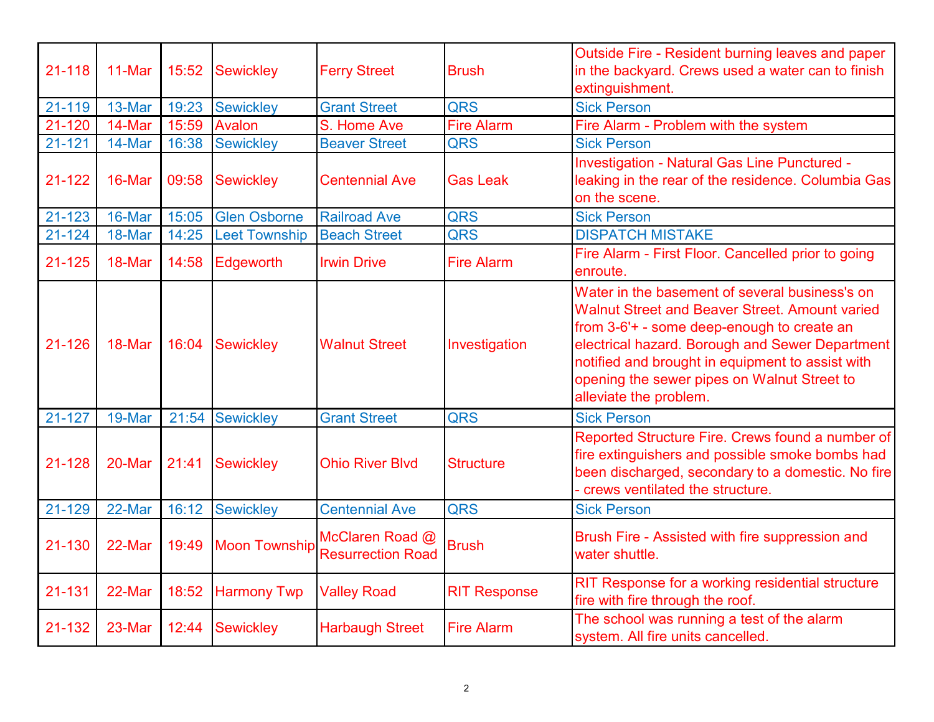| 21-118     | 11-Mar | 15:52 | <b>Sewickley</b>     | <b>Ferry Street</b>                         | <b>Brush</b>        | Outside Fire - Resident burning leaves and paper<br>in the backyard. Crews used a water can to finish<br>extinguishment.                                                                                                                                                                                                              |
|------------|--------|-------|----------------------|---------------------------------------------|---------------------|---------------------------------------------------------------------------------------------------------------------------------------------------------------------------------------------------------------------------------------------------------------------------------------------------------------------------------------|
| 21-119     | 13-Mar | 19:23 | <b>Sewickley</b>     | <b>Grant Street</b>                         | <b>QRS</b>          | <b>Sick Person</b>                                                                                                                                                                                                                                                                                                                    |
| 21-120     | 14-Mar | 15:59 | <b>Avalon</b>        | S. Home Ave                                 | <b>Fire Alarm</b>   | Fire Alarm - Problem with the system                                                                                                                                                                                                                                                                                                  |
| $21 - 121$ | 14-Mar | 16:38 | <b>Sewickley</b>     | <b>Beaver Street</b>                        | <b>QRS</b>          | <b>Sick Person</b>                                                                                                                                                                                                                                                                                                                    |
| $21 - 122$ | 16-Mar | 09:58 | <b>Sewickley</b>     | <b>Centennial Ave</b>                       | <b>Gas Leak</b>     | <b>Investigation - Natural Gas Line Punctured -</b><br>leaking in the rear of the residence. Columbia Gas<br>on the scene.                                                                                                                                                                                                            |
| 21-123     | 16-Mar | 15:05 | <b>Glen Osborne</b>  | <b>Railroad Ave</b>                         | <b>QRS</b>          | <b>Sick Person</b>                                                                                                                                                                                                                                                                                                                    |
| 21-124     | 18-Mar | 14:25 | <b>Leet Township</b> | <b>Beach Street</b>                         | <b>QRS</b>          | <b>DISPATCH MISTAKE</b>                                                                                                                                                                                                                                                                                                               |
| 21-125     | 18-Mar | 14:58 | Edgeworth            | <b>Irwin Drive</b>                          | <b>Fire Alarm</b>   | Fire Alarm - First Floor. Cancelled prior to going<br>enroute.                                                                                                                                                                                                                                                                        |
| 21-126     | 18-Mar | 16:04 | <b>Sewickley</b>     | <b>Walnut Street</b>                        | Investigation       | Water in the basement of several business's on<br><b>Walnut Street and Beaver Street. Amount varied</b><br>from 3-6'+ - some deep-enough to create an<br>electrical hazard. Borough and Sewer Department<br>notified and brought in equipment to assist with<br>opening the sewer pipes on Walnut Street to<br>alleviate the problem. |
| 21-127     | 19-Mar | 21:54 | <b>Sewickley</b>     | <b>Grant Street</b>                         | <b>QRS</b>          | <b>Sick Person</b>                                                                                                                                                                                                                                                                                                                    |
| 21-128     | 20-Mar | 21:41 | <b>Sewickley</b>     | <b>Ohio River Blvd</b>                      | <b>Structure</b>    | Reported Structure Fire. Crews found a number of<br>fire extinguishers and possible smoke bombs had<br>been discharged, secondary to a domestic. No fire<br>crews ventilated the structure.                                                                                                                                           |
| 21-129     | 22-Mar | 16:12 | <b>Sewickley</b>     | <b>Centennial Ave</b>                       | <b>QRS</b>          | <b>Sick Person</b>                                                                                                                                                                                                                                                                                                                    |
| 21-130     | 22-Mar | 19:49 | <b>Moon Township</b> | McClaren Road @<br><b>Resurrection Road</b> | <b>Brush</b>        | Brush Fire - Assisted with fire suppression and<br>water shuttle.                                                                                                                                                                                                                                                                     |
| 21-131     | 22-Mar | 18:52 | <b>Harmony Twp</b>   | <b>Valley Road</b>                          | <b>RIT Response</b> | RIT Response for a working residential structure<br>fire with fire through the roof.                                                                                                                                                                                                                                                  |
| 21-132     | 23-Mar | 12:44 | <b>Sewickley</b>     | <b>Harbaugh Street</b>                      | <b>Fire Alarm</b>   | The school was running a test of the alarm<br>system. All fire units cancelled.                                                                                                                                                                                                                                                       |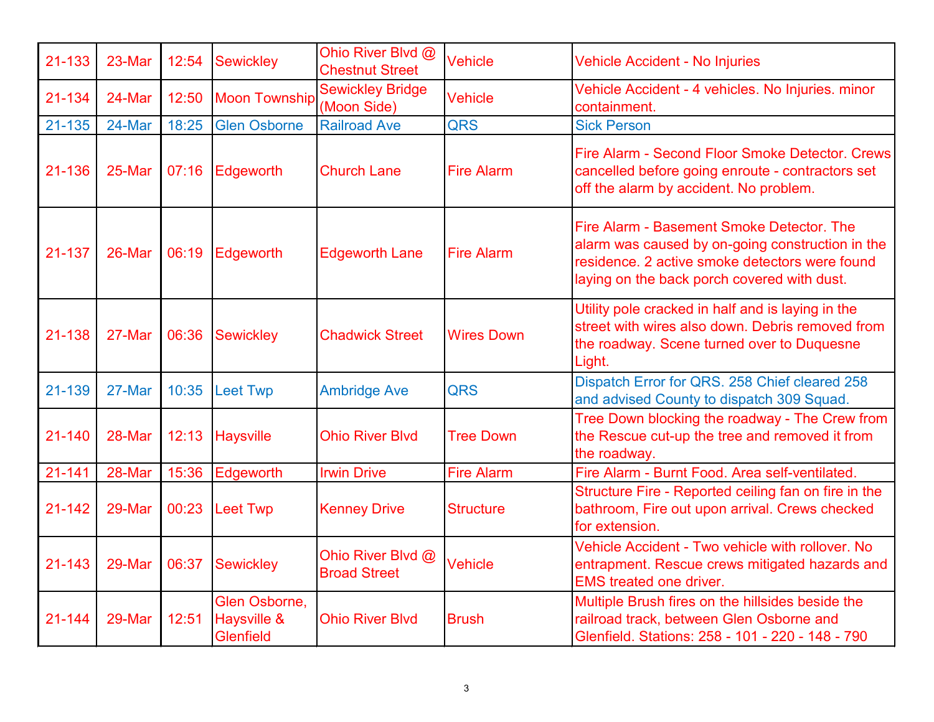| 21-133 | 23-Mar | 12:54 | <b>Sewickley</b>                                 | Ohio River Blvd @<br><b>Chestnut Street</b> | Vehicle           | <b>Vehicle Accident - No Injuries</b>                                                                                                                                                          |
|--------|--------|-------|--------------------------------------------------|---------------------------------------------|-------------------|------------------------------------------------------------------------------------------------------------------------------------------------------------------------------------------------|
| 21-134 | 24-Mar | 12:50 | <b>Moon Township</b>                             | <b>Sewickley Bridge</b><br>(Moon Side)      | <b>Vehicle</b>    | Vehicle Accident - 4 vehicles. No Injuries. minor<br>containment.                                                                                                                              |
| 21-135 | 24-Mar | 18:25 | <b>Glen Osborne</b>                              | <b>Railroad Ave</b>                         | <b>QRS</b>        | <b>Sick Person</b>                                                                                                                                                                             |
| 21-136 | 25-Mar | 07:16 | Edgeworth                                        | <b>Church Lane</b>                          | <b>Fire Alarm</b> | Fire Alarm - Second Floor Smoke Detector. Crews<br>cancelled before going enroute - contractors set<br>off the alarm by accident. No problem.                                                  |
| 21-137 | 26-Mar | 06:19 | Edgeworth                                        | <b>Edgeworth Lane</b>                       | <b>Fire Alarm</b> | Fire Alarm - Basement Smoke Detector, The<br>alarm was caused by on-going construction in the<br>residence. 2 active smoke detectors were found<br>laying on the back porch covered with dust. |
| 21-138 | 27-Mar | 06:36 | <b>Sewickley</b>                                 | <b>Chadwick Street</b>                      | <b>Wires Down</b> | Utility pole cracked in half and is laying in the<br>street with wires also down. Debris removed from<br>the roadway. Scene turned over to Duquesne<br>Light.                                  |
| 21-139 | 27-Mar | 10:35 | <b>Leet Twp</b>                                  | <b>Ambridge Ave</b>                         | <b>QRS</b>        | Dispatch Error for QRS. 258 Chief cleared 258<br>and advised County to dispatch 309 Squad.                                                                                                     |
| 21-140 | 28-Mar | 12:13 | <b>Haysville</b>                                 | <b>Ohio River Blvd</b>                      | <b>Tree Down</b>  | Tree Down blocking the roadway - The Crew from<br>the Rescue cut-up the tree and removed it from<br>the roadway.                                                                               |
| 21-141 | 28-Mar | 15:36 | Edgeworth                                        | <b>Irwin Drive</b>                          | <b>Fire Alarm</b> | Fire Alarm - Burnt Food. Area self-ventilated.                                                                                                                                                 |
| 21-142 | 29-Mar | 00:23 | <b>Leet Twp</b>                                  | <b>Kenney Drive</b>                         | <b>Structure</b>  | Structure Fire - Reported ceiling fan on fire in the<br>bathroom, Fire out upon arrival. Crews checked<br>for extension.                                                                       |
| 21-143 | 29-Mar | 06:37 | <b>Sewickley</b>                                 | Ohio River Blvd @<br><b>Broad Street</b>    | <b>Vehicle</b>    | Vehicle Accident - Two vehicle with rollover. No<br>entrapment. Rescue crews mitigated hazards and<br><b>EMS treated one driver.</b>                                                           |
| 21-144 | 29-Mar | 12:51 | Glen Osborne,<br>Haysville &<br><b>Glenfield</b> | <b>Ohio River Blvd</b>                      | <b>Brush</b>      | Multiple Brush fires on the hillsides beside the<br>railroad track, between Glen Osborne and<br>Glenfield. Stations: 258 - 101 - 220 - 148 - 790                                               |